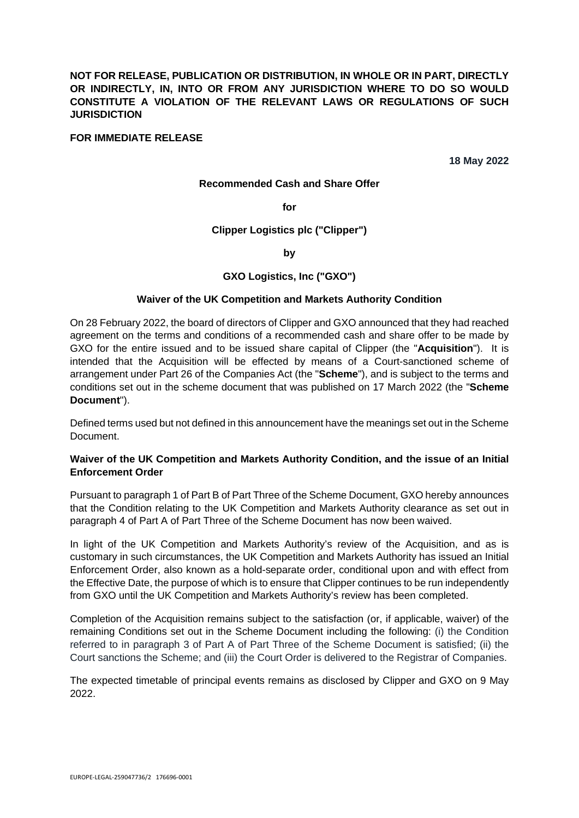**NOT FOR RELEASE, PUBLICATION OR DISTRIBUTION, IN WHOLE OR IN PART, DIRECTLY OR INDIRECTLY, IN, INTO OR FROM ANY JURISDICTION WHERE TO DO SO WOULD CONSTITUTE A VIOLATION OF THE RELEVANT LAWS OR REGULATIONS OF SUCH JURISDICTION** 

### **FOR IMMEDIATE RELEASE**

**18 May 2022** 

#### **Recommended Cash and Share Offer**

**for** 

### **Clipper Logistics plc ("Clipper")**

### **by**

## **GXO Logistics, Inc ("GXO")**

#### **Waiver of the UK Competition and Markets Authority Condition**

On 28 February 2022, the board of directors of Clipper and GXO announced that they had reached agreement on the terms and conditions of a recommended cash and share offer to be made by GXO for the entire issued and to be issued share capital of Clipper (the "**Acquisition**"). It is intended that the Acquisition will be effected by means of a Court-sanctioned scheme of arrangement under Part 26 of the Companies Act (the "**Scheme**"), and is subject to the terms and conditions set out in the scheme document that was published on 17 March 2022 (the "**Scheme Document**").

Defined terms used but not defined in this announcement have the meanings set out in the Scheme Document.

## **Waiver of the UK Competition and Markets Authority Condition, and the issue of an Initial Enforcement Order**

Pursuant to paragraph 1 of Part B of Part Three of the Scheme Document, GXO hereby announces that the Condition relating to the UK Competition and Markets Authority clearance as set out in paragraph 4 of Part A of Part Three of the Scheme Document has now been waived.

In light of the UK Competition and Markets Authority's review of the Acquisition, and as is customary in such circumstances, the UK Competition and Markets Authority has issued an Initial Enforcement Order, also known as a hold-separate order, conditional upon and with effect from the Effective Date, the purpose of which is to ensure that Clipper continues to be run independently from GXO until the UK Competition and Markets Authority's review has been completed.

Completion of the Acquisition remains subject to the satisfaction (or, if applicable, waiver) of the remaining Conditions set out in the Scheme Document including the following: (i) the Condition referred to in paragraph 3 of Part A of Part Three of the Scheme Document is satisfied; (ii) the Court sanctions the Scheme; and (iii) the Court Order is delivered to the Registrar of Companies.

The expected timetable of principal events remains as disclosed by Clipper and GXO on 9 May 2022.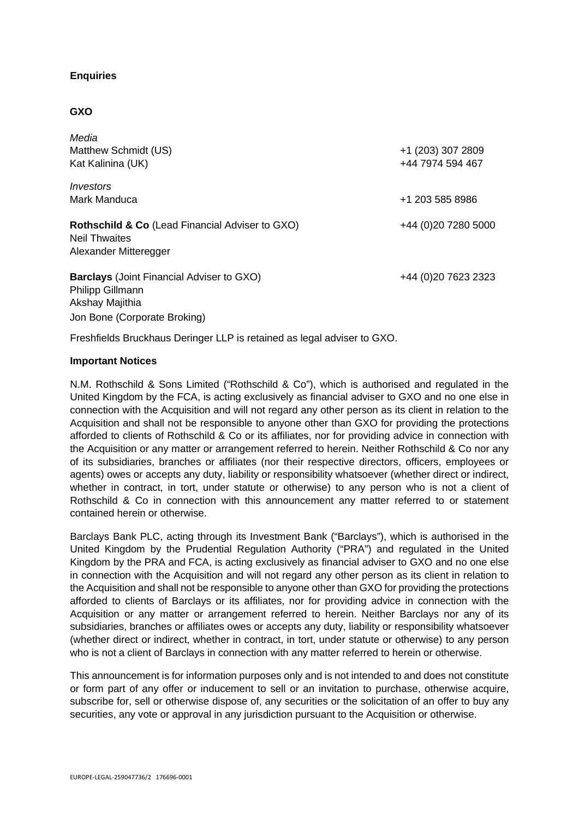# **Enquiries**

## **GXO**

| Media<br>Matthew Schmidt (US)<br>Kat Kalinina (UK)                                                          | +1 (203) 307 2809<br>+44 7974 594 467 |
|-------------------------------------------------------------------------------------------------------------|---------------------------------------|
| Investors<br>Mark Manduca                                                                                   | +1 203 585 8986                       |
| <b>Rothschild &amp; Co</b> (Lead Financial Adviser to GXO)<br><b>Neil Thwaites</b><br>Alexander Mitteregger | +44 (0) 20 7280 5000                  |
| <b>Barclays</b> (Joint Financial Adviser to GXO)<br>Philipp Gillmann<br>Akshay Majithia                     | +44 (0)20 7623 2323                   |

Freshfields Bruckhaus Deringer LLP is retained as legal adviser to GXO.

## **Important Notices**

Jon Bone (Corporate Broking)

N.M. Rothschild & Sons Limited ("Rothschild & Co"), which is authorised and regulated in the United Kingdom by the FCA, is acting exclusively as financial adviser to GXO and no one else in connection with the Acquisition and will not regard any other person as its client in relation to the Acquisition and shall not be responsible to anyone other than GXO for providing the protections afforded to clients of Rothschild & Co or its affiliates, nor for providing advice in connection with the Acquisition or any matter or arrangement referred to herein. Neither Rothschild & Co nor any of its subsidiaries, branches or affiliates (nor their respective directors, officers, employees or agents) owes or accepts any duty, liability or responsibility whatsoever (whether direct or indirect, whether in contract, in tort, under statute or otherwise) to any person who is not a client of Rothschild & Co in connection with this announcement any matter referred to or statement contained herein or otherwise.

Barclays Bank PLC, acting through its Investment Bank ("Barclays"), which is authorised in the United Kingdom by the Prudential Regulation Authority ("PRA") and regulated in the United Kingdom by the PRA and FCA, is acting exclusively as financial adviser to GXO and no one else in connection with the Acquisition and will not regard any other person as its client in relation to the Acquisition and shall not be responsible to anyone other than GXO for providing the protections afforded to clients of Barclays or its affiliates, nor for providing advice in connection with the Acquisition or any matter or arrangement referred to herein. Neither Barclays nor any of its subsidiaries, branches or affiliates owes or accepts any duty, liability or responsibility whatsoever (whether direct or indirect, whether in contract, in tort, under statute or otherwise) to any person who is not a client of Barclays in connection with any matter referred to herein or otherwise.

This announcement is for information purposes only and is not intended to and does not constitute or form part of any offer or inducement to sell or an invitation to purchase, otherwise acquire, subscribe for, sell or otherwise dispose of, any securities or the solicitation of an offer to buy any securities, any vote or approval in any jurisdiction pursuant to the Acquisition or otherwise.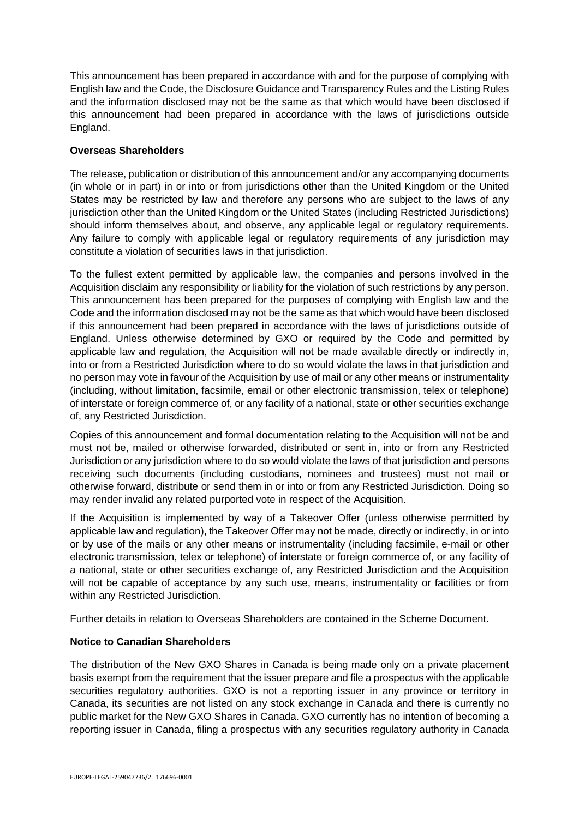This announcement has been prepared in accordance with and for the purpose of complying with English law and the Code, the Disclosure Guidance and Transparency Rules and the Listing Rules and the information disclosed may not be the same as that which would have been disclosed if this announcement had been prepared in accordance with the laws of jurisdictions outside England.

## **Overseas Shareholders**

The release, publication or distribution of this announcement and/or any accompanying documents (in whole or in part) in or into or from jurisdictions other than the United Kingdom or the United States may be restricted by law and therefore any persons who are subject to the laws of any jurisdiction other than the United Kingdom or the United States (including Restricted Jurisdictions) should inform themselves about, and observe, any applicable legal or regulatory requirements. Any failure to comply with applicable legal or regulatory requirements of any jurisdiction may constitute a violation of securities laws in that jurisdiction.

To the fullest extent permitted by applicable law, the companies and persons involved in the Acquisition disclaim any responsibility or liability for the violation of such restrictions by any person. This announcement has been prepared for the purposes of complying with English law and the Code and the information disclosed may not be the same as that which would have been disclosed if this announcement had been prepared in accordance with the laws of jurisdictions outside of England. Unless otherwise determined by GXO or required by the Code and permitted by applicable law and regulation, the Acquisition will not be made available directly or indirectly in, into or from a Restricted Jurisdiction where to do so would violate the laws in that jurisdiction and no person may vote in favour of the Acquisition by use of mail or any other means or instrumentality (including, without limitation, facsimile, email or other electronic transmission, telex or telephone) of interstate or foreign commerce of, or any facility of a national, state or other securities exchange of, any Restricted Jurisdiction.

Copies of this announcement and formal documentation relating to the Acquisition will not be and must not be, mailed or otherwise forwarded, distributed or sent in, into or from any Restricted Jurisdiction or any jurisdiction where to do so would violate the laws of that jurisdiction and persons receiving such documents (including custodians, nominees and trustees) must not mail or otherwise forward, distribute or send them in or into or from any Restricted Jurisdiction. Doing so may render invalid any related purported vote in respect of the Acquisition.

If the Acquisition is implemented by way of a Takeover Offer (unless otherwise permitted by applicable law and regulation), the Takeover Offer may not be made, directly or indirectly, in or into or by use of the mails or any other means or instrumentality (including facsimile, e-mail or other electronic transmission, telex or telephone) of interstate or foreign commerce of, or any facility of a national, state or other securities exchange of, any Restricted Jurisdiction and the Acquisition will not be capable of acceptance by any such use, means, instrumentality or facilities or from within any Restricted Jurisdiction.

Further details in relation to Overseas Shareholders are contained in the Scheme Document.

# **Notice to Canadian Shareholders**

The distribution of the New GXO Shares in Canada is being made only on a private placement basis exempt from the requirement that the issuer prepare and file a prospectus with the applicable securities regulatory authorities. GXO is not a reporting issuer in any province or territory in Canada, its securities are not listed on any stock exchange in Canada and there is currently no public market for the New GXO Shares in Canada. GXO currently has no intention of becoming a reporting issuer in Canada, filing a prospectus with any securities regulatory authority in Canada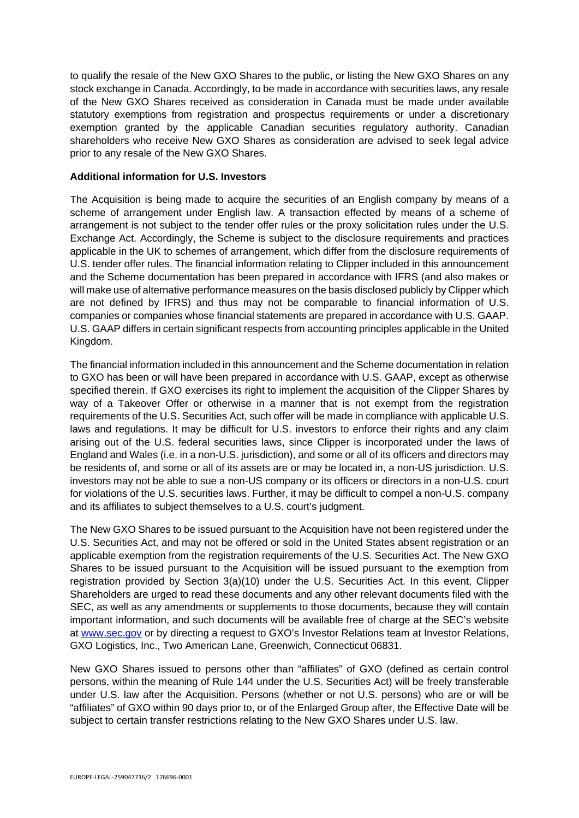to qualify the resale of the New GXO Shares to the public, or listing the New GXO Shares on any stock exchange in Canada. Accordingly, to be made in accordance with securities laws, any resale of the New GXO Shares received as consideration in Canada must be made under available statutory exemptions from registration and prospectus requirements or under a discretionary exemption granted by the applicable Canadian securities regulatory authority. Canadian shareholders who receive New GXO Shares as consideration are advised to seek legal advice prior to any resale of the New GXO Shares.

## **Additional information for U.S. Investors**

The Acquisition is being made to acquire the securities of an English company by means of a scheme of arrangement under English law. A transaction effected by means of a scheme of arrangement is not subject to the tender offer rules or the proxy solicitation rules under the U.S. Exchange Act. Accordingly, the Scheme is subject to the disclosure requirements and practices applicable in the UK to schemes of arrangement, which differ from the disclosure requirements of U.S. tender offer rules. The financial information relating to Clipper included in this announcement and the Scheme documentation has been prepared in accordance with IFRS (and also makes or will make use of alternative performance measures on the basis disclosed publicly by Clipper which are not defined by IFRS) and thus may not be comparable to financial information of U.S. companies or companies whose financial statements are prepared in accordance with U.S. GAAP. U.S. GAAP differs in certain significant respects from accounting principles applicable in the United Kingdom.

The financial information included in this announcement and the Scheme documentation in relation to GXO has been or will have been prepared in accordance with U.S. GAAP, except as otherwise specified therein. If GXO exercises its right to implement the acquisition of the Clipper Shares by way of a Takeover Offer or otherwise in a manner that is not exempt from the registration requirements of the U.S. Securities Act, such offer will be made in compliance with applicable U.S. laws and regulations. It may be difficult for U.S. investors to enforce their rights and any claim arising out of the U.S. federal securities laws, since Clipper is incorporated under the laws of England and Wales (i.e. in a non-U.S. jurisdiction), and some or all of its officers and directors may be residents of, and some or all of its assets are or may be located in, a non-US jurisdiction. U.S. investors may not be able to sue a non-US company or its officers or directors in a non-U.S. court for violations of the U.S. securities laws. Further, it may be difficult to compel a non-U.S. company and its affiliates to subject themselves to a U.S. court's judgment.

The New GXO Shares to be issued pursuant to the Acquisition have not been registered under the U.S. Securities Act, and may not be offered or sold in the United States absent registration or an applicable exemption from the registration requirements of the U.S. Securities Act. The New GXO Shares to be issued pursuant to the Acquisition will be issued pursuant to the exemption from registration provided by Section 3(a)(10) under the U.S. Securities Act. In this event, Clipper Shareholders are urged to read these documents and any other relevant documents filed with the SEC, as well as any amendments or supplements to those documents, because they will contain important information, and such documents will be available free of charge at the SEC's website at [www.sec.gov](http://www.sec.gov/) or by directing a request to GXO's Investor Relations team at Investor Relations, GXO Logistics, Inc., Two American Lane, Greenwich, Connecticut 06831.

New GXO Shares issued to persons other than "affiliates" of GXO (defined as certain control persons, within the meaning of Rule 144 under the U.S. Securities Act) will be freely transferable under U.S. law after the Acquisition. Persons (whether or not U.S. persons) who are or will be "affiliates" of GXO within 90 days prior to, or of the Enlarged Group after, the Effective Date will be subject to certain transfer restrictions relating to the New GXO Shares under U.S. law.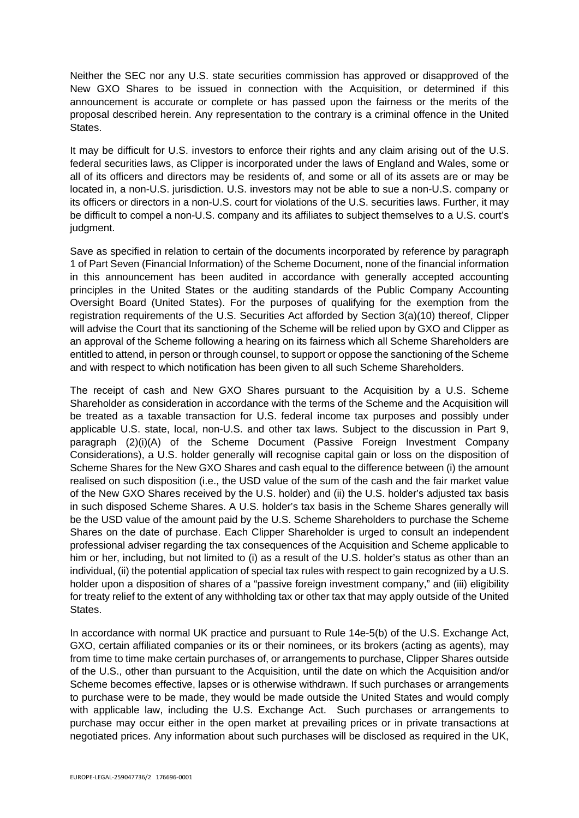Neither the SEC nor any U.S. state securities commission has approved or disapproved of the New GXO Shares to be issued in connection with the Acquisition, or determined if this announcement is accurate or complete or has passed upon the fairness or the merits of the proposal described herein. Any representation to the contrary is a criminal offence in the United States.

It may be difficult for U.S. investors to enforce their rights and any claim arising out of the U.S. federal securities laws, as Clipper is incorporated under the laws of England and Wales, some or all of its officers and directors may be residents of, and some or all of its assets are or may be located in, a non-U.S. jurisdiction. U.S. investors may not be able to sue a non-U.S. company or its officers or directors in a non-U.S. court for violations of the U.S. securities laws. Further, it may be difficult to compel a non-U.S. company and its affiliates to subject themselves to a U.S. court's judgment.

Save as specified in relation to certain of the documents incorporated by reference by paragraph 1 of Part Seven (Financial Information) of the Scheme Document, none of the financial information in this announcement has been audited in accordance with generally accepted accounting principles in the United States or the auditing standards of the Public Company Accounting Oversight Board (United States). For the purposes of qualifying for the exemption from the registration requirements of the U.S. Securities Act afforded by Section 3(a)(10) thereof, Clipper will advise the Court that its sanctioning of the Scheme will be relied upon by GXO and Clipper as an approval of the Scheme following a hearing on its fairness which all Scheme Shareholders are entitled to attend, in person or through counsel, to support or oppose the sanctioning of the Scheme and with respect to which notification has been given to all such Scheme Shareholders.

The receipt of cash and New GXO Shares pursuant to the Acquisition by a U.S. Scheme Shareholder as consideration in accordance with the terms of the Scheme and the Acquisition will be treated as a taxable transaction for U.S. federal income tax purposes and possibly under applicable U.S. state, local, non-U.S. and other tax laws. Subject to the discussion in Part 9, paragraph (2)(i)(A) of the Scheme Document (Passive Foreign Investment Company Considerations), a U.S. holder generally will recognise capital gain or loss on the disposition of Scheme Shares for the New GXO Shares and cash equal to the difference between (i) the amount realised on such disposition (i.e., the USD value of the sum of the cash and the fair market value of the New GXO Shares received by the U.S. holder) and (ii) the U.S. holder's adjusted tax basis in such disposed Scheme Shares. A U.S. holder's tax basis in the Scheme Shares generally will be the USD value of the amount paid by the U.S. Scheme Shareholders to purchase the Scheme Shares on the date of purchase. Each Clipper Shareholder is urged to consult an independent professional adviser regarding the tax consequences of the Acquisition and Scheme applicable to him or her, including, but not limited to (i) as a result of the U.S. holder's status as other than an individual, (ii) the potential application of special tax rules with respect to gain recognized by a U.S. holder upon a disposition of shares of a "passive foreign investment company," and (iii) eligibility for treaty relief to the extent of any withholding tax or other tax that may apply outside of the United States.

In accordance with normal UK practice and pursuant to Rule 14e-5(b) of the U.S. Exchange Act, GXO, certain affiliated companies or its or their nominees, or its brokers (acting as agents), may from time to time make certain purchases of, or arrangements to purchase, Clipper Shares outside of the U.S., other than pursuant to the Acquisition, until the date on which the Acquisition and/or Scheme becomes effective, lapses or is otherwise withdrawn. If such purchases or arrangements to purchase were to be made, they would be made outside the United States and would comply with applicable law, including the U.S. Exchange Act. Such purchases or arrangements to purchase may occur either in the open market at prevailing prices or in private transactions at negotiated prices. Any information about such purchases will be disclosed as required in the UK,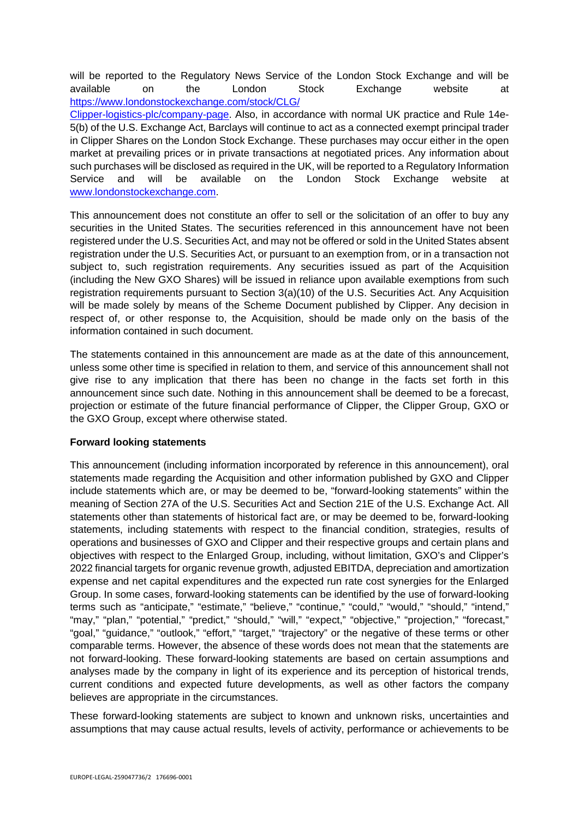will be reported to the Regulatory News Service of the London Stock Exchange and will be available on the London Stock Exchange website at [https://www.londonstockexchange.com/stock/CLG/](https://www.londonstockexchange.com/stock/CLG/Clipper-logistics-plc/company-page) 

[Clipper-logistics-plc/company-page.](https://www.londonstockexchange.com/stock/CLG/Clipper-logistics-plc/company-page) Also, in accordance with normal UK practice and Rule 14e-5(b) of the U.S. Exchange Act, Barclays will continue to act as a connected exempt principal trader in Clipper Shares on the London Stock Exchange. These purchases may occur either in the open market at prevailing prices or in private transactions at negotiated prices. Any information about such purchases will be disclosed as required in the UK, will be reported to a Regulatory Information Service and will be available on the London Stock Exchange website at [www.londonstockexchange.com.](http://www.londonstockexchange.com/)

This announcement does not constitute an offer to sell or the solicitation of an offer to buy any securities in the United States. The securities referenced in this announcement have not been registered under the U.S. Securities Act, and may not be offered or sold in the United States absent registration under the U.S. Securities Act, or pursuant to an exemption from, or in a transaction not subject to, such registration requirements. Any securities issued as part of the Acquisition (including the New GXO Shares) will be issued in reliance upon available exemptions from such registration requirements pursuant to Section 3(a)(10) of the U.S. Securities Act. Any Acquisition will be made solely by means of the Scheme Document published by Clipper. Any decision in respect of, or other response to, the Acquisition, should be made only on the basis of the information contained in such document.

The statements contained in this announcement are made as at the date of this announcement, unless some other time is specified in relation to them, and service of this announcement shall not give rise to any implication that there has been no change in the facts set forth in this announcement since such date. Nothing in this announcement shall be deemed to be a forecast, projection or estimate of the future financial performance of Clipper, the Clipper Group, GXO or the GXO Group, except where otherwise stated.

# **Forward looking statements**

This announcement (including information incorporated by reference in this announcement), oral statements made regarding the Acquisition and other information published by GXO and Clipper include statements which are, or may be deemed to be, "forward-looking statements" within the meaning of Section 27A of the U.S. Securities Act and Section 21E of the U.S. Exchange Act. All statements other than statements of historical fact are, or may be deemed to be, forward-looking statements, including statements with respect to the financial condition, strategies, results of operations and businesses of GXO and Clipper and their respective groups and certain plans and objectives with respect to the Enlarged Group, including, without limitation, GXO's and Clipper's 2022 financial targets for organic revenue growth, adjusted EBITDA, depreciation and amortization expense and net capital expenditures and the expected run rate cost synergies for the Enlarged Group. In some cases, forward-looking statements can be identified by the use of forward-looking terms such as "anticipate," "estimate," "believe," "continue," "could," "would," "should," "intend," "may," "plan," "potential," "predict," "should," "will," "expect," "objective," "projection," "forecast," "goal," "guidance," "outlook," "effort," "target," "trajectory" or the negative of these terms or other comparable terms. However, the absence of these words does not mean that the statements are not forward-looking. These forward-looking statements are based on certain assumptions and analyses made by the company in light of its experience and its perception of historical trends, current conditions and expected future developments, as well as other factors the company believes are appropriate in the circumstances.

These forward-looking statements are subject to known and unknown risks, uncertainties and assumptions that may cause actual results, levels of activity, performance or achievements to be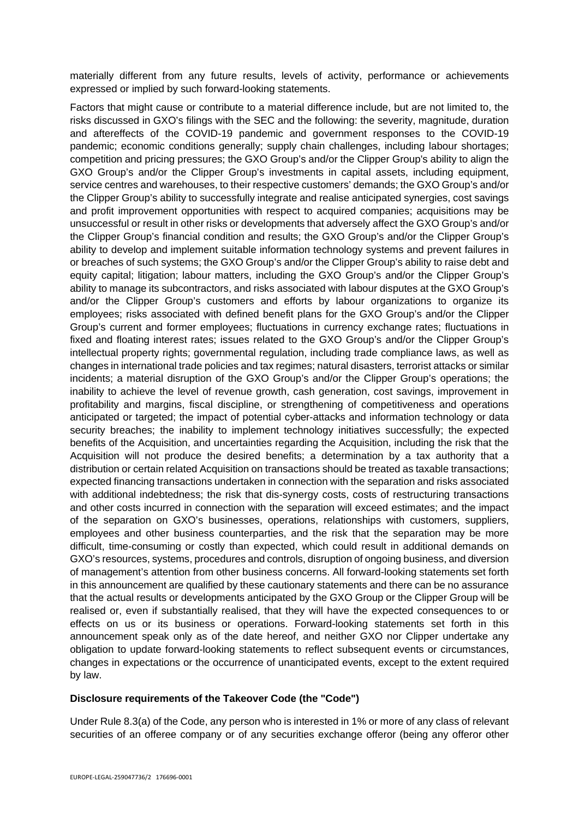materially different from any future results, levels of activity, performance or achievements expressed or implied by such forward-looking statements.

Factors that might cause or contribute to a material difference include, but are not limited to, the risks discussed in GXO's filings with the SEC and the following: the severity, magnitude, duration and aftereffects of the COVID-19 pandemic and government responses to the COVID-19 pandemic; economic conditions generally; supply chain challenges, including labour shortages; competition and pricing pressures; the GXO Group's and/or the Clipper Group's ability to align the GXO Group's and/or the Clipper Group's investments in capital assets, including equipment, service centres and warehouses, to their respective customers' demands; the GXO Group's and/or the Clipper Group's ability to successfully integrate and realise anticipated synergies, cost savings and profit improvement opportunities with respect to acquired companies; acquisitions may be unsuccessful or result in other risks or developments that adversely affect the GXO Group's and/or the Clipper Group's financial condition and results; the GXO Group's and/or the Clipper Group's ability to develop and implement suitable information technology systems and prevent failures in or breaches of such systems; the GXO Group's and/or the Clipper Group's ability to raise debt and equity capital; litigation; labour matters, including the GXO Group's and/or the Clipper Group's ability to manage its subcontractors, and risks associated with labour disputes at the GXO Group's and/or the Clipper Group's customers and efforts by labour organizations to organize its employees; risks associated with defined benefit plans for the GXO Group's and/or the Clipper Group's current and former employees; fluctuations in currency exchange rates; fluctuations in fixed and floating interest rates; issues related to the GXO Group's and/or the Clipper Group's intellectual property rights; governmental regulation, including trade compliance laws, as well as changes in international trade policies and tax regimes; natural disasters, terrorist attacks or similar incidents; a material disruption of the GXO Group's and/or the Clipper Group's operations; the inability to achieve the level of revenue growth, cash generation, cost savings, improvement in profitability and margins, fiscal discipline, or strengthening of competitiveness and operations anticipated or targeted; the impact of potential cyber-attacks and information technology or data security breaches; the inability to implement technology initiatives successfully; the expected benefits of the Acquisition, and uncertainties regarding the Acquisition, including the risk that the Acquisition will not produce the desired benefits; a determination by a tax authority that a distribution or certain related Acquisition on transactions should be treated as taxable transactions; expected financing transactions undertaken in connection with the separation and risks associated with additional indebtedness; the risk that dis-synergy costs, costs of restructuring transactions and other costs incurred in connection with the separation will exceed estimates; and the impact of the separation on GXO's businesses, operations, relationships with customers, suppliers, employees and other business counterparties, and the risk that the separation may be more difficult, time-consuming or costly than expected, which could result in additional demands on GXO's resources, systems, procedures and controls, disruption of ongoing business, and diversion of management's attention from other business concerns. All forward-looking statements set forth in this announcement are qualified by these cautionary statements and there can be no assurance that the actual results or developments anticipated by the GXO Group or the Clipper Group will be realised or, even if substantially realised, that they will have the expected consequences to or effects on us or its business or operations. Forward-looking statements set forth in this announcement speak only as of the date hereof, and neither GXO nor Clipper undertake any obligation to update forward-looking statements to reflect subsequent events or circumstances, changes in expectations or the occurrence of unanticipated events, except to the extent required by law.

## **Disclosure requirements of the Takeover Code (the "Code")**

Under Rule 8.3(a) of the Code, any person who is interested in 1% or more of any class of relevant securities of an offeree company or of any securities exchange offeror (being any offeror other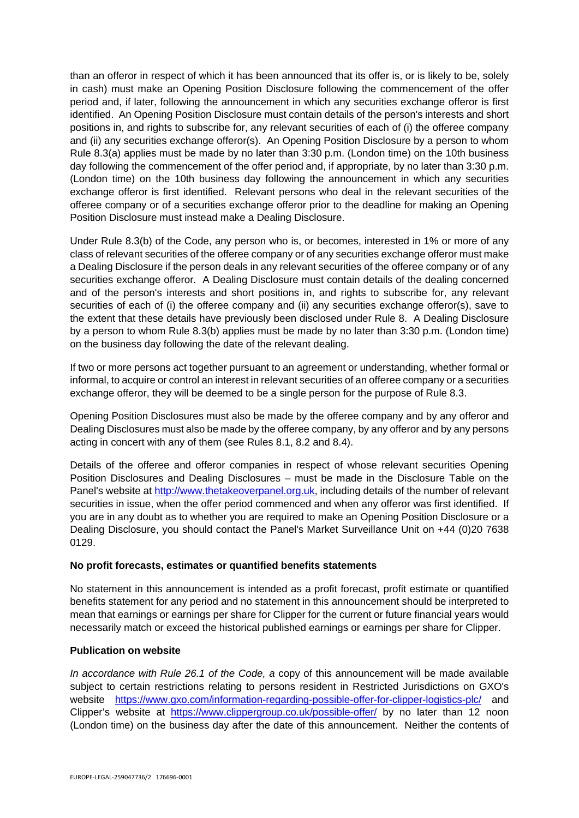than an offeror in respect of which it has been announced that its offer is, or is likely to be, solely in cash) must make an Opening Position Disclosure following the commencement of the offer period and, if later, following the announcement in which any securities exchange offeror is first identified. An Opening Position Disclosure must contain details of the person's interests and short positions in, and rights to subscribe for, any relevant securities of each of (i) the offeree company and (ii) any securities exchange offeror(s). An Opening Position Disclosure by a person to whom Rule 8.3(a) applies must be made by no later than 3:30 p.m. (London time) on the 10th business day following the commencement of the offer period and, if appropriate, by no later than 3:30 p.m. (London time) on the 10th business day following the announcement in which any securities exchange offeror is first identified. Relevant persons who deal in the relevant securities of the offeree company or of a securities exchange offeror prior to the deadline for making an Opening Position Disclosure must instead make a Dealing Disclosure.

Under Rule 8.3(b) of the Code, any person who is, or becomes, interested in 1% or more of any class of relevant securities of the offeree company or of any securities exchange offeror must make a Dealing Disclosure if the person deals in any relevant securities of the offeree company or of any securities exchange offeror. A Dealing Disclosure must contain details of the dealing concerned and of the person's interests and short positions in, and rights to subscribe for, any relevant securities of each of (i) the offeree company and (ii) any securities exchange offeror(s), save to the extent that these details have previously been disclosed under Rule 8. A Dealing Disclosure by a person to whom Rule 8.3(b) applies must be made by no later than 3:30 p.m. (London time) on the business day following the date of the relevant dealing.

If two or more persons act together pursuant to an agreement or understanding, whether formal or informal, to acquire or control an interest in relevant securities of an offeree company or a securities exchange offeror, they will be deemed to be a single person for the purpose of Rule 8.3.

Opening Position Disclosures must also be made by the offeree company and by any offeror and Dealing Disclosures must also be made by the offeree company, by any offeror and by any persons acting in concert with any of them (see Rules 8.1, 8.2 and 8.4).

Details of the offeree and offeror companies in respect of whose relevant securities Opening Position Disclosures and Dealing Disclosures – must be made in the Disclosure Table on the Panel's website at [http://www.thetakeoverpanel.org.uk,](http://www.thetakeoverpanel.org.uk/) including details of the number of relevant securities in issue, when the offer period commenced and when any offeror was first identified. If you are in any doubt as to whether you are required to make an Opening Position Disclosure or a Dealing Disclosure, you should contact the Panel's Market Surveillance Unit on +44 (0)20 7638 0129.

# **No profit forecasts, estimates or quantified benefits statements**

No statement in this announcement is intended as a profit forecast, profit estimate or quantified benefits statement for any period and no statement in this announcement should be interpreted to mean that earnings or earnings per share for Clipper for the current or future financial years would necessarily match or exceed the historical published earnings or earnings per share for Clipper.

# **Publication on website**

*In accordance with Rule 26.1 of the Code, a* copy of this announcement will be made available subject to certain restrictions relating to persons resident in Restricted Jurisdictions on GXO's website <https://www.gxo.com/information-regarding-possible-offer-for-clipper-logistics-plc/>and Clipper's website at <https://www.clippergroup.co.uk/possible-offer/>by no later than 12 noon (London time) on the business day after the date of this announcement. Neither the contents of